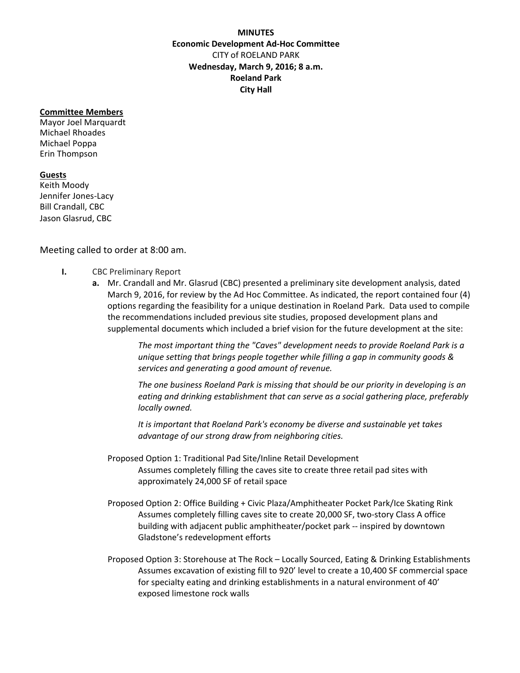## **MINUTES Economic Development Ad‐Hoc Committee** CITY of ROELAND PARK **Wednesday, March 9, 2016; 8 a.m. Roeland Park City Hall**

## **Committee Members**

Mayor Joel Marquardt Michael Rhoades Michael Poppa Erin Thompson

## **Guests**

Keith Moody Jennifer Jones‐Lacy Bill Crandall, CBC Jason Glasrud, CBC

## Meeting called to order at 8:00 am.

- **I.** CBC Preliminary Report
	- **a.** Mr. Crandall and Mr. Glasrud (CBC) presented a preliminary site development analysis, dated March 9, 2016, for review by the Ad Hoc Committee. As indicated, the report contained four (4) options regarding the feasibility for a unique destination in Roeland Park. Data used to compile the recommendations included previous site studies, proposed development plans and supplemental documents which included a brief vision for the future development at the site:

*The most important thing the "Caves" development needs to provide Roeland Park is a unique setting that brings people together while filling a gap in community goods & services and generating a good amount of revenue.*

*The one business Roeland Park is missing that should be our priority in developing is an eating and drinking establishment that can serve as a social gathering place, preferably locally owned.*

*It is important that Roeland Park's economy be diverse and sustainable yet takes advantage of our strong draw from neighboring cities.*

- Proposed Option 1: Traditional Pad Site/Inline Retail Development Assumes completely filling the caves site to create three retail pad sites with approximately 24,000 SF of retail space
- Proposed Option 2: Office Building + Civic Plaza/Amphitheater Pocket Park/Ice Skating Rink Assumes completely filling caves site to create 20,000 SF, two‐story Class A office building with adjacent public amphitheater/pocket park ‐‐ inspired by downtown Gladstone's redevelopment efforts
- Proposed Option 3: Storehouse at The Rock Locally Sourced, Eating & Drinking Establishments Assumes excavation of existing fill to 920' level to create a 10,400 SF commercial space for specialty eating and drinking establishments in a natural environment of 40' exposed limestone rock walls